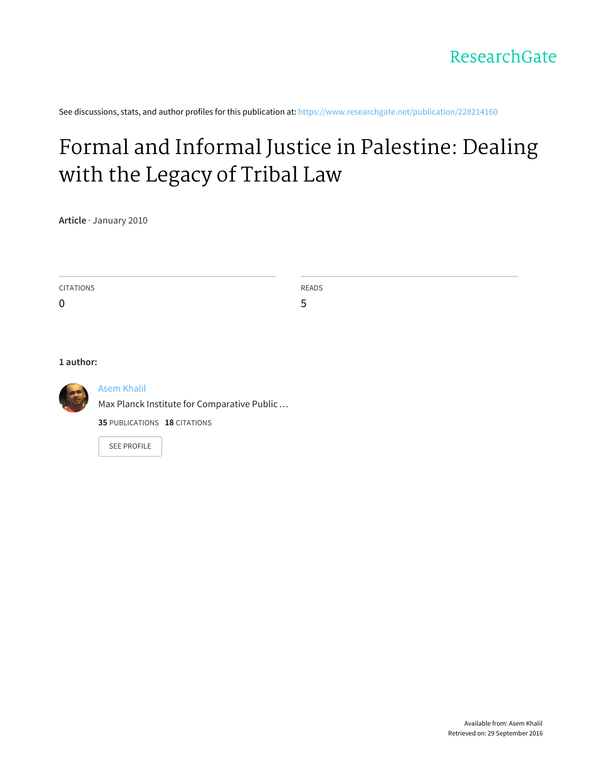See discussions, stats, and author profiles for this publication at: [https://www.researchgate.net/publication/228214160](https://www.researchgate.net/publication/228214160_Formal_and_Informal_Justice_in_Palestine_Dealing_with_the_Legacy_of_Tribal_Law?enrichId=rgreq-2ecd6b667644129b111e63f8b6800256-XXX&enrichSource=Y292ZXJQYWdlOzIyODIxNDE2MDtBUzoyNDkyNTAyMDY0NDk2NjlAMTQzNjQzNzI4ODY1NQ%3D%3D&el=1_x_2)

# Formal and Informal Justice in [Palestine:](https://www.researchgate.net/publication/228214160_Formal_and_Informal_Justice_in_Palestine_Dealing_with_the_Legacy_of_Tribal_Law?enrichId=rgreq-2ecd6b667644129b111e63f8b6800256-XXX&enrichSource=Y292ZXJQYWdlOzIyODIxNDE2MDtBUzoyNDkyNTAyMDY0NDk2NjlAMTQzNjQzNzI4ODY1NQ%3D%3D&el=1_x_3) Dealing with the Legacy of Tribal Law

**Article** · January 2010

| CITATIONS        | <b>READS</b> |
|------------------|--------------|
| $\boldsymbol{0}$ | ь<br>◡       |

**1 author:**



#### Asem [Khalil](https://www.researchgate.net/profile/Asem_Khalil?enrichId=rgreq-2ecd6b667644129b111e63f8b6800256-XXX&enrichSource=Y292ZXJQYWdlOzIyODIxNDE2MDtBUzoyNDkyNTAyMDY0NDk2NjlAMTQzNjQzNzI4ODY1NQ%3D%3D&el=1_x_5)

Max Planck Institute for [Comparative](https://www.researchgate.net/institution/Max_Planck_Institute_for_Comparative_Public_Law_and_International_Law?enrichId=rgreq-2ecd6b667644129b111e63f8b6800256-XXX&enrichSource=Y292ZXJQYWdlOzIyODIxNDE2MDtBUzoyNDkyNTAyMDY0NDk2NjlAMTQzNjQzNzI4ODY1NQ%3D%3D&el=1_x_6) Public…

**35** PUBLICATIONS **18** CITATIONS

SEE [PROFILE](https://www.researchgate.net/profile/Asem_Khalil?enrichId=rgreq-2ecd6b667644129b111e63f8b6800256-XXX&enrichSource=Y292ZXJQYWdlOzIyODIxNDE2MDtBUzoyNDkyNTAyMDY0NDk2NjlAMTQzNjQzNzI4ODY1NQ%3D%3D&el=1_x_7)

Available from: Asem Khalil Retrieved on: 29 September 2016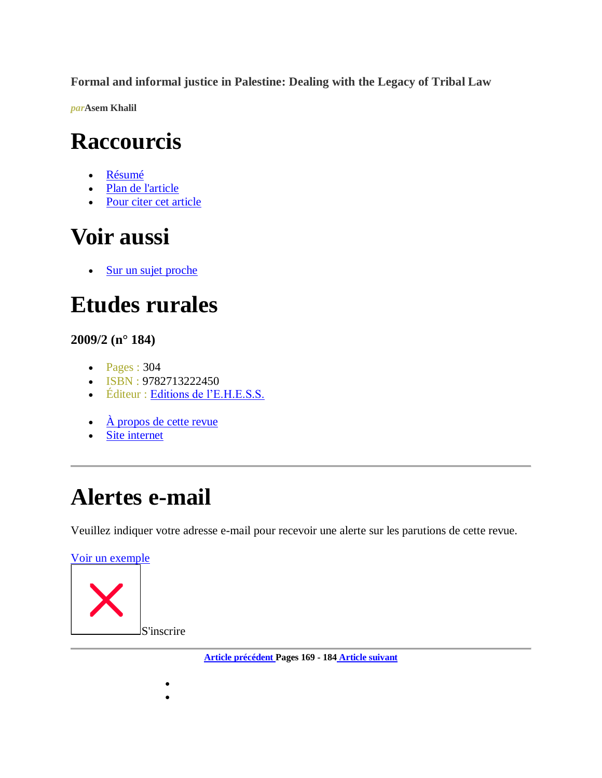**Formal and informal justice in Palestine: Dealing with the Legacy of Tribal Law**

*par***[Asem Khalil](http://www.cairn.info/publications-de-Khalil-Asem%20--55085.htm)**

# **Raccourcis**

- [Résumé](http://www.cairn.info/revue-etudes-rurales-2009-2-page-169.htm#anchor_abstract)
- [Plan de l'article](http://www.cairn.info/revue-etudes-rurales-2009-2-page-169.htm#anchor_plan)
- [Pour citer cet article](http://www.cairn.info/revue-etudes-rurales-2009-2-page-169.htm#anchor_citation)

# **Voir aussi**

• Sur un sujet proche

# **Etudes rurales**

# **2009/2 (n° 184)**

- $\bullet$  Pages : 304
- ISBN : 9782713222450
- · Éditeur : [Editions de l'E.H.E.S.S.](http://www.cairn.info/editeur.php?ID_EDITEUR=EHESS)
- $\overrightarrow{A}$  propos de cette revue
- Site internet

# **Alertes e-mail**

 $\bullet$  $\bullet$ 

Veuillez indiquer votre adresse e-mail pour recevoir une alerte sur les parutions de cette revue.

[Voir un exemple](http://dedi.cairn.info/NL/exemple_NL.php?ID_NUMPUBLIE=ETRU_184) S'inscrire

**[Article précédent P](http://www.cairn.info/revue-etudes-rurales-2009-2-page-149.htm)ages 169 - 184 [Article suivant](http://www.cairn.info/revue-etudes-rurales-2009-2-page-185.htm)**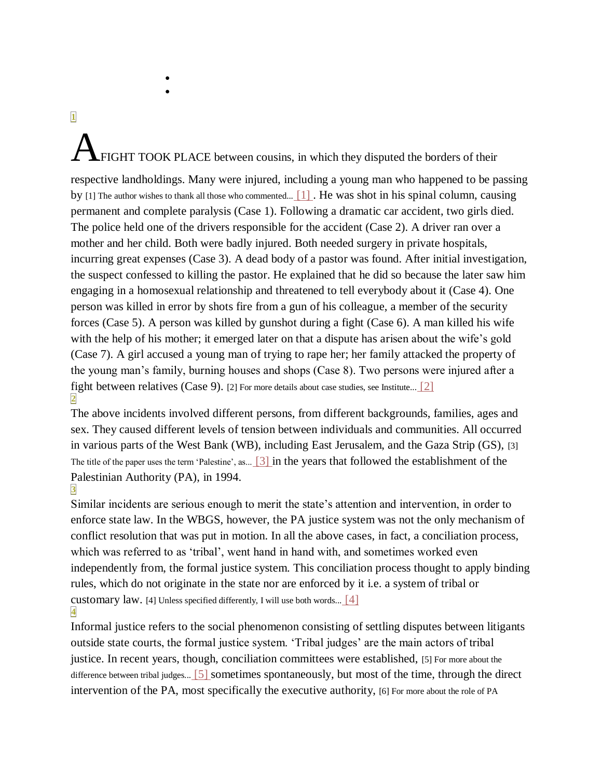$\bullet$  $\bullet$ 

#### **[1](http://www.cairn.info/revue-etudes-rurales-2009-2-page-169.htm#pa1)**

# FIGHT TOOK PLACE between cousins, in which they disputed the borders of their

respective landholdings. Many were injured, including a young man who happened to be passing by [\[1\] The author wishes to thank all those who commented...](http://www.cairn.info/revue-etudes-rurales-2009-2-page-169.htm#no1) [1]. He was shot in his spinal column, causing permanent and complete paralysis (Case 1). Following a dramatic car accident, two girls died. The police held one of the drivers responsible for the accident (Case 2). A driver ran over a mother and her child. Both were badly injured. Both needed surgery in private hospitals, incurring great expenses (Case 3). A dead body of a pastor was found. After initial investigation, the suspect confessed to killing the pastor. He explained that he did so because the later saw him engaging in a homosexual relationship and threatened to tell everybody about it (Case 4). One person was killed in error by shots fire from a gun of his colleague, a member of the security forces (Case 5). A person was killed by gunshot during a fight (Case 6). A man killed his wife with the help of his mother; it emerged later on that a dispute has arisen about the wife's gold (Case 7). A girl accused a young man of trying to rape her; her family attacked the property of the young man's family, burning houses and shops (Case 8). Two persons were injured after a fight between relatives (Case 9). [\[2\] For more details about case studies, see Institute...](http://www.cairn.info/revue-etudes-rurales-2009-2-page-169.htm#no2) [2] **[2](http://www.cairn.info/revue-etudes-rurales-2009-2-page-169.htm#pa2)**

The above incidents involved different persons, from different backgrounds, families, ages and sex. They caused different levels of tension between individuals and communities. All occurred in various parts of the West Bank (WB), including East Jerusalem, and the Gaza Strip (GS), [\[3\]](http://www.cairn.info/revue-etudes-rurales-2009-2-page-169.htm#no3)  [The title of the paper uses the term 'Palestine', as...](http://www.cairn.info/revue-etudes-rurales-2009-2-page-169.htm#no3) [\[3\] i](http://www.cairn.info/revue-etudes-rurales-2009-2-page-169.htm#no3)n the years that followed the establishment of the Palestinian Authority (PA), in 1994.

**[3](http://www.cairn.info/revue-etudes-rurales-2009-2-page-169.htm#pa3)** Similar incidents are serious enough to merit the state's attention and intervention, in order to enforce state law. In the WBGS, however, the PA justice system was not the only mechanism of conflict resolution that was put in motion. In all the above cases, in fact, a conciliation process, which was referred to as 'tribal', went hand in hand with, and sometimes worked even independently from, the formal justice system. This conciliation process thought to apply binding rules, which do not originate in the state nor are enforced by it i.e. a system of tribal or customary law. [\[4\] Unless specified differently, I will use both words...](http://www.cairn.info/revue-etudes-rurales-2009-2-page-169.htm#no4)  $[4]$ **[4](http://www.cairn.info/revue-etudes-rurales-2009-2-page-169.htm#pa4)**

Informal justice refers to the social phenomenon consisting of settling disputes between litigants outside state courts, the formal justice system. 'Tribal judges' are the main actors of tribal justice. In recent years, though, conciliation committees were established, [5] For more about the [difference between tribal judges...](http://www.cairn.info/revue-etudes-rurales-2009-2-page-169.htm#no5) [\[5\] s](http://www.cairn.info/revue-etudes-rurales-2009-2-page-169.htm#no5)ometimes spontaneously, but most of the time, through the direct intervention of the PA, most specifically the executive authority, [\[6\] For more about the role of PA](http://www.cairn.info/revue-etudes-rurales-2009-2-page-169.htm#no6)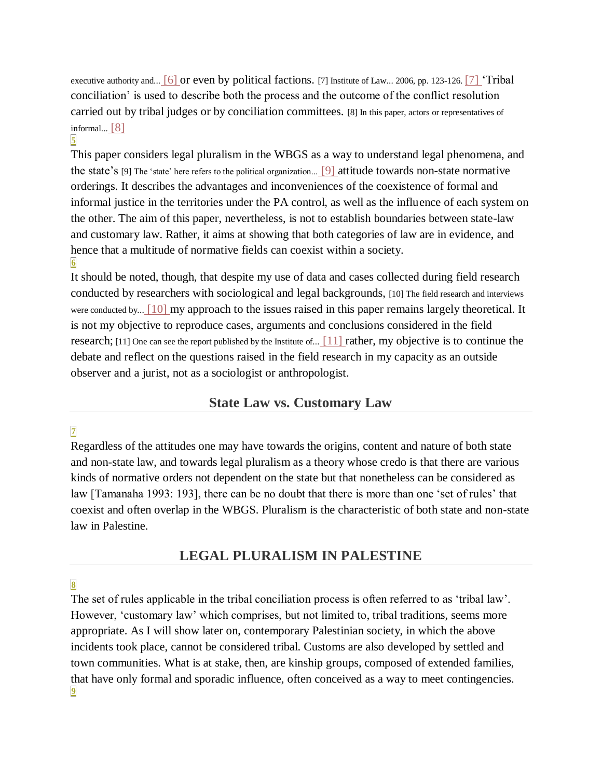executive authority and... [\[6\] o](http://www.cairn.info/revue-etudes-rurales-2009-2-page-169.htm#no6)r even by political factions. [\[7\] Institute of Law... 2006, pp. 123-126.](http://www.cairn.info/revue-etudes-rurales-2009-2-page-169.htm#no7) [\[7\] '](http://www.cairn.info/revue-etudes-rurales-2009-2-page-169.htm#no7)Tribal conciliation' is used to describe both the process and the outcome of the conflict resolution carried out by tribal judges or by conciliation committees. [\[8\] In this paper, actors or representatives of](http://www.cairn.info/revue-etudes-rurales-2009-2-page-169.htm#no8)  [informal...](http://www.cairn.info/revue-etudes-rurales-2009-2-page-169.htm#no8) [\[8\]](http://www.cairn.info/revue-etudes-rurales-2009-2-page-169.htm#no8) 

#### **[5](http://www.cairn.info/revue-etudes-rurales-2009-2-page-169.htm#pa5)**

This paper considers legal pluralism in the WBGS as a way to understand legal phenomena, and the state's [\[9\] The 'state' here refers to the political organization...](http://www.cairn.info/revue-etudes-rurales-2009-2-page-169.htm#no9) [\[9\] a](http://www.cairn.info/revue-etudes-rurales-2009-2-page-169.htm#no9)ttitude towards non-state normative orderings. It describes the advantages and inconveniences of the coexistence of formal and informal justice in the territories under the PA control, as well as the influence of each system on the other. The aim of this paper, nevertheless, is not to establish boundaries between state-law and customary law. Rather, it aims at showing that both categories of law are in evidence, and hence that a multitude of normative fields can coexist within a society. **[6](http://www.cairn.info/revue-etudes-rurales-2009-2-page-169.htm#pa6)**

It should be noted, though, that despite my use of data and cases collected during field research conducted by researchers with sociological and legal backgrounds, [\[10\] The field research and interviews](http://www.cairn.info/revue-etudes-rurales-2009-2-page-169.htm#no10)  [were conducted by...](http://www.cairn.info/revue-etudes-rurales-2009-2-page-169.htm#no10) [\[10\] m](http://www.cairn.info/revue-etudes-rurales-2009-2-page-169.htm#no10)y approach to the issues raised in this paper remains largely theoretical. It is not my objective to reproduce cases, arguments and conclusions considered in the field research; [\[11\] One can see the report published by the Institute of...](http://www.cairn.info/revue-etudes-rurales-2009-2-page-169.htm#no11)  $[11]$  rather, my objective is to continue the debate and reflect on the questions raised in the field research in my capacity as an outside observer and a jurist, not as a sociologist or anthropologist.

#### **State Law vs. Customary Law**

#### **[7](http://www.cairn.info/revue-etudes-rurales-2009-2-page-169.htm#pa7)**

Regardless of the attitudes one may have towards the origins, content and nature of both state and non-state law, and towards legal pluralism as a theory whose credo is that there are various kinds of normative orders not dependent on the state but that nonetheless can be considered as law [Tamanaha 1993: 193], there can be no doubt that there is more than one 'set of rules' that coexist and often overlap in the WBGS. Pluralism is the characteristic of both state and non-state law in Palestine.

# **LEGAL PLURALISM IN PALESTINE**

#### **[8](http://www.cairn.info/revue-etudes-rurales-2009-2-page-169.htm#pa8)**

The set of rules applicable in the tribal conciliation process is often referred to as 'tribal law'. However, 'customary law' which comprises, but not limited to, tribal traditions, seems more appropriate. As I will show later on, contemporary Palestinian society, in which the above incidents took place, cannot be considered tribal. Customs are also developed by settled and town communities. What is at stake, then, are kinship groups, composed of extended families, that have only formal and sporadic influence, often conceived as a way to meet contingencies. **[9](http://www.cairn.info/revue-etudes-rurales-2009-2-page-169.htm#pa9)**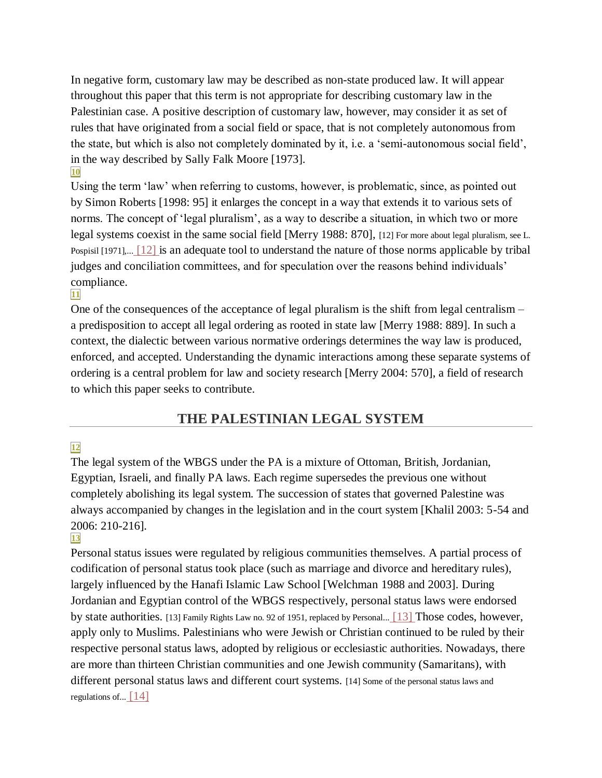In negative form, customary law may be described as non-state produced law. It will appear throughout this paper that this term is not appropriate for describing customary law in the Palestinian case. A positive description of customary law, however, may consider it as set of rules that have originated from a social field or space, that is not completely autonomous from the state, but which is also not completely dominated by it, i.e. a 'semi-autonomous social field', in the way described by Sally Falk Moore [1973]. **[10](http://www.cairn.info/revue-etudes-rurales-2009-2-page-169.htm#pa10)**

Using the term 'law' when referring to customs, however, is problematic, since, as pointed out by Simon Roberts [1998: 95] it enlarges the concept in a way that extends it to various sets of norms. The concept of 'legal pluralism', as a way to describe a situation, in which two or more legal systems coexist in the same social field [Merry 1988: 870], [12] For [more about legal pluralism, see L.](http://www.cairn.info/revue-etudes-rurales-2009-2-page-169.htm#no12)  [Pospisil \[1971\],...](http://www.cairn.info/revue-etudes-rurales-2009-2-page-169.htm#no12) [\[12\] i](http://www.cairn.info/revue-etudes-rurales-2009-2-page-169.htm#no12)s an adequate tool to understand the nature of those norms applicable by tribal judges and conciliation committees, and for speculation over the reasons behind individuals' compliance.

**[11](http://www.cairn.info/revue-etudes-rurales-2009-2-page-169.htm#pa11)**

One of the consequences of the acceptance of legal pluralism is the shift from legal centralism – a predisposition to accept all legal ordering as rooted in state law [Merry 1988: 889]. In such a context, the dialectic between various normative orderings determines the way law is produced, enforced, and accepted. Understanding the dynamic interactions among these separate systems of ordering is a central problem for law and society research [Merry 2004: 570], a field of research to which this paper seeks to contribute.

# **THE PALESTINIAN LEGAL SYSTEM**

#### **[12](http://www.cairn.info/revue-etudes-rurales-2009-2-page-169.htm#pa12)**

The legal system of the WBGS under the PA is a mixture of Ottoman, British, Jordanian, Egyptian, Israeli, and finally PA laws. Each regime supersedes the previous one without completely abolishing its legal system. The succession of states that governed Palestine was always accompanied by changes in the legislation and in the court system [Khalil 2003: 5-54 and 2006: 210-216].

#### **[13](http://www.cairn.info/revue-etudes-rurales-2009-2-page-169.htm#pa13)**

Personal status issues were regulated by religious communities themselves. A partial process of codification of personal status took place (such as marriage and divorce and hereditary rules), largely influenced by the Hanafi Islamic Law School [Welchman 1988 and 2003]. During Jordanian and Egyptian control of the WBGS respectively, personal status laws were endorsed by state authorities. [\[13\] Family Rights Law no. 92 of](http://www.cairn.info/revue-etudes-rurales-2009-2-page-169.htm#no13) 1951, replaced by Personal... [\[13\] T](http://www.cairn.info/revue-etudes-rurales-2009-2-page-169.htm#no13)hose codes, however, apply only to Muslims. Palestinians who were Jewish or Christian continued to be ruled by their respective personal status laws, adopted by religious or ecclesiastic authorities. Nowadays, there are more than thirteen Christian communities and one Jewish community (Samaritans), with different personal status laws and different court systems. [\[14\] Some of the personal status laws and](http://www.cairn.info/revue-etudes-rurales-2009-2-page-169.htm#no14)  regulations of ...  $[14]$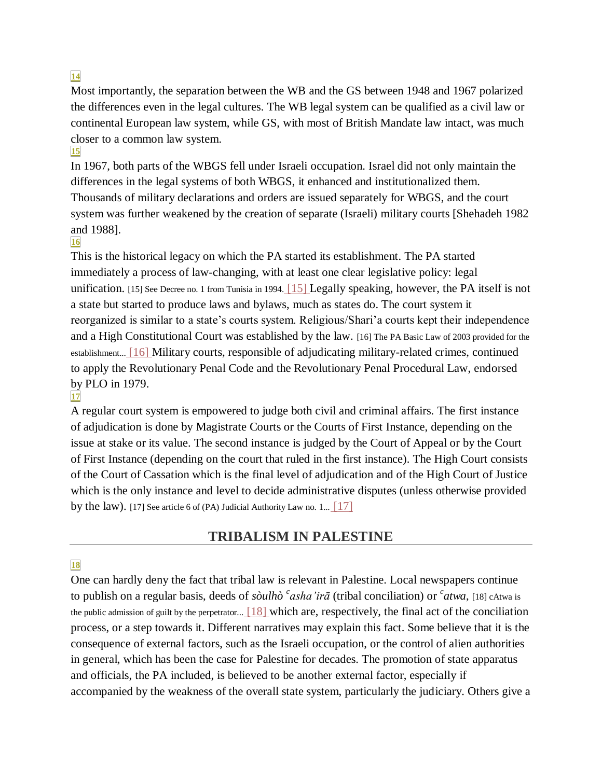#### **[14](http://www.cairn.info/revue-etudes-rurales-2009-2-page-169.htm#pa14)**

Most importantly, the separation between the WB and the GS between 1948 and 1967 polarized the differences even in the legal cultures. The WB legal system can be qualified as a civil law or continental European law system, while GS, with most of British Mandate law intact, was much closer to a common law system. **[15](http://www.cairn.info/revue-etudes-rurales-2009-2-page-169.htm#pa15)**

In 1967, both parts of the WBGS fell under Israeli occupation. Israel did not only maintain the differences in the legal systems of both WBGS, it enhanced and institutionalized them. Thousands of military declarations and orders are issued separately for WBGS, and the court system was further weakened by the creation of separate (Israeli) military courts [Shehadeh 1982 and 1988].

#### **[16](http://www.cairn.info/revue-etudes-rurales-2009-2-page-169.htm#pa16)**

This is the historical legacy on which the PA started its establishment. The PA started immediately a process of law-changing, with at least one clear legislative policy: legal unification. [\[15\] See Decree no. 1 from Tunisia in 1994.](http://www.cairn.info/revue-etudes-rurales-2009-2-page-169.htm#no15) [\[15\] L](http://www.cairn.info/revue-etudes-rurales-2009-2-page-169.htm#no15)egally speaking, however, the PA itself is not a state but started to produce laws and bylaws, much as states do. The court system it reorganized is similar to a state's courts system. Religious/Shari'a courts kept their independence and a High Constitutional Court was established by the law. [\[16\] The PA Basic Law of 2003 provided for the](http://www.cairn.info/revue-etudes-rurales-2009-2-page-169.htm#no16)  [establishment...](http://www.cairn.info/revue-etudes-rurales-2009-2-page-169.htm#no16) [\[16\] M](http://www.cairn.info/revue-etudes-rurales-2009-2-page-169.htm#no16)ilitary courts, responsible of adjudicating military-related crimes, continued to apply the Revolutionary Penal Code and the Revolutionary Penal Procedural Law, endorsed by PLO in 1979.

#### **[17](http://www.cairn.info/revue-etudes-rurales-2009-2-page-169.htm#pa17)**

A regular court system is empowered to judge both civil and criminal affairs. The first instance of adjudication is done by Magistrate Courts or the Courts of First Instance, depending on the issue at stake or its value. The second instance is judged by the Court of Appeal or by the Court of First Instance (depending on the court that ruled in the first instance). The High Court consists of the Court of Cassation which is the final level of adjudication and of the High Court of Justice which is the only instance and level to decide administrative disputes (unless otherwise provided by the law). [\[17\] See article 6 of \(PA\) Judicial Authority Law no. 1...](http://www.cairn.info/revue-etudes-rurales-2009-2-page-169.htm#no17)  $\boxed{17}$ 

# **TRIBALISM IN PALESTINE**

#### **[18](http://www.cairn.info/revue-etudes-rurales-2009-2-page-169.htm#pa18)**

One can hardly deny the fact that tribal law is relevant in Palestine. Local newspapers continue to publish on a regular basis, deeds of *sòulhò <sup>c</sup>asha'irā* (tribal conciliation) or *<sup>c</sup>atwa*, [18] cAtwa is [the public admission of guilt by the perpetrator...](http://www.cairn.info/revue-etudes-rurales-2009-2-page-169.htm#no18) [\[18\] w](http://www.cairn.info/revue-etudes-rurales-2009-2-page-169.htm#no18)hich are, respectively, the final act of the conciliation process, or a step towards it. Different narratives may explain this fact. Some believe that it is the consequence of external factors, such as the Israeli occupation, or the control of alien authorities in general, which has been the case for Palestine for decades. The promotion of state apparatus and officials, the PA included, is believed to be another external factor, especially if accompanied by the weakness of the overall state system, particularly the judiciary. Others give a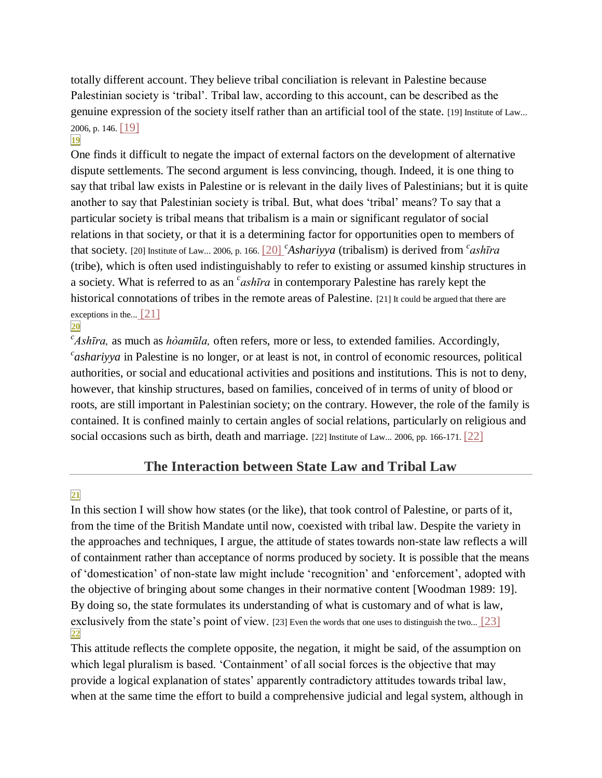totally different account. They believe tribal conciliation is relevant in Palestine because Palestinian society is 'tribal'. Tribal law, according to this account, can be described as the genuine expression of the society itself rather than an artificial tool of the state. [\[19\] Institute of Law...](http://www.cairn.info/revue-etudes-rurales-2009-2-page-169.htm#no19)  [2006, p. 146.](http://www.cairn.info/revue-etudes-rurales-2009-2-page-169.htm#no19) [\[19\]](http://www.cairn.info/revue-etudes-rurales-2009-2-page-169.htm#no19) 

#### **[19](http://www.cairn.info/revue-etudes-rurales-2009-2-page-169.htm#pa19)**

One finds it difficult to negate the impact of external factors on the development of alternative dispute settlements. The second argument is less convincing, though. Indeed, it is one thing to say that tribal law exists in Palestine or is relevant in the daily lives of Palestinians; but it is quite another to say that Palestinian society is tribal. But, what does 'tribal' means? To say that a particular society is tribal means that tribalism is a main or significant regulator of social relations in that society, or that it is a determining factor for opportunities open to members of that society. [\[20\] Institute of Law... 2006, p. 166.](http://www.cairn.info/revue-etudes-rurales-2009-2-page-169.htm#no20) [\[20\]](http://www.cairn.info/revue-etudes-rurales-2009-2-page-169.htm#no20) *<sup>c</sup> Ashariyya* (tribalism) is derived from *<sup>c</sup> ashīra* (tribe), which is often used indistinguishably to refer to existing or assumed kinship structures in a society. What is referred to as an *<sup>c</sup> ashīra* in contemporary Palestine has rarely kept the historical connotations of tribes in the remote areas of Palestine. [21] It could be argued that there are [exceptions in the...](http://www.cairn.info/revue-etudes-rurales-2009-2-page-169.htm#no21)  $\lceil 21 \rceil$ 

#### **[20](http://www.cairn.info/revue-etudes-rurales-2009-2-page-169.htm#pa20)**

*c Ashīra,* as much as *hòamūla,* often refers, more or less, to extended families. Accordingly, *c ashariyya* in Palestine is no longer, or at least is not, in control of economic resources, political authorities, or social and educational activities and positions and institutions. This is not to deny, however, that kinship structures, based on families, conceived of in terms of unity of blood or roots, are still important in Palestinian society; on the contrary. However, the role of the family is contained. It is confined mainly to certain angles of social relations, particularly on religious and social occasions such as birth, death and marriage. [\[22\] Institute of Law... 2006, pp. 166-171.](http://www.cairn.info/revue-etudes-rurales-2009-2-page-169.htm#no22) [22]

# **The Interaction between State Law and Tribal Law**

#### **[21](http://www.cairn.info/revue-etudes-rurales-2009-2-page-169.htm#pa21)**

In this section I will show how states (or the like), that took control of Palestine, or parts of it, from the time of the British Mandate until now, coexisted with tribal law. Despite the variety in the approaches and techniques, I argue, the attitude of states towards non-state law reflects a will of containment rather than acceptance of norms produced by society. It is possible that the means of 'domestication' of non-state law might include 'recognition' and 'enforcement', adopted with the objective of bringing about some changes in their normative content [Woodman 1989: 19]. By doing so, the state formulates its understanding of what is customary and of what is law, exclusively from the state's point of view. [\[23\] Even the words that one uses to distinguish the two...](http://www.cairn.info/revue-etudes-rurales-2009-2-page-169.htm#no23) [\[23\]](http://www.cairn.info/revue-etudes-rurales-2009-2-page-169.htm#no23)  **[22](http://www.cairn.info/revue-etudes-rurales-2009-2-page-169.htm#pa22)**

This attitude reflects the complete opposite, the negation, it might be said, of the assumption on which legal pluralism is based. 'Containment' of all social forces is the objective that may provide a logical explanation of states' apparently contradictory attitudes towards tribal law, when at the same time the effort to build a comprehensive judicial and legal system, although in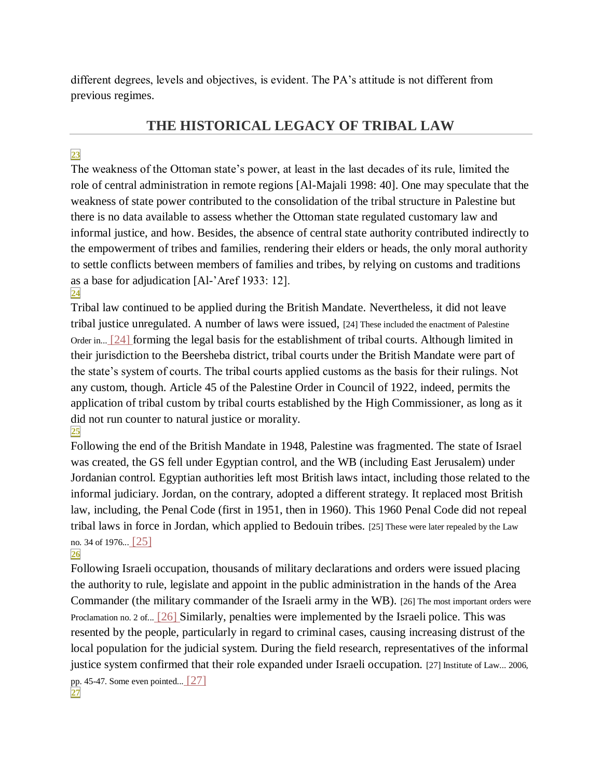different degrees, levels and objectives, is evident. The PA's attitude is not different from previous regimes.

# **THE HISTORICAL LEGACY OF TRIBAL LAW**

# **[23](http://www.cairn.info/revue-etudes-rurales-2009-2-page-169.htm#pa23)**

The weakness of the Ottoman state's power, at least in the last decades of its rule, limited the role of central administration in remote regions [Al-Majali 1998: 40]. One may speculate that the weakness of state power contributed to the consolidation of the tribal structure in Palestine but there is no data available to assess whether the Ottoman state regulated customary law and informal justice, and how. Besides, the absence of central state authority contributed indirectly to the empowerment of tribes and families, rendering their elders or heads, the only moral authority to settle conflicts between members of families and tribes, by relying on customs and traditions as a base for adjudication [Al-'Aref 1933: 12]. **[24](http://www.cairn.info/revue-etudes-rurales-2009-2-page-169.htm#pa24)**

Tribal law continued to be applied during the British Mandate. Nevertheless, it did not leave tribal justice unregulated. A number of laws were issued, [\[24\] These included the enactment of Palestine](http://www.cairn.info/revue-etudes-rurales-2009-2-page-169.htm#no24)  [Order in...](http://www.cairn.info/revue-etudes-rurales-2009-2-page-169.htm#no24) [\[24\] f](http://www.cairn.info/revue-etudes-rurales-2009-2-page-169.htm#no24)orming the legal basis for the establishment of tribal courts. Although limited in their jurisdiction to the Beersheba district, tribal courts under the British Mandate were part of the state's system of courts. The tribal courts applied customs as the basis for their rulings. Not any custom, though. Article 45 of the Palestine Order in Council of 1922, indeed, permits the application of tribal custom by tribal courts established by the High Commissioner, as long as it did not run counter to natural justice or morality. **[25](http://www.cairn.info/revue-etudes-rurales-2009-2-page-169.htm#pa25)**

Following the end of the British Mandate in 1948, Palestine was fragmented. The state of Israel was created, the GS fell under Egyptian control, and the WB (including East Jerusalem) under Jordanian control. Egyptian authorities left most British laws intact, including those related to the informal judiciary. Jordan, on the contrary, adopted a different strategy. It replaced most British law, including, the Penal Code (first in 1951, then in 1960). This 1960 Penal Code did not repeal tribal laws in force in Jordan, which applied to Bedouin tribes. [\[25\] These were later repealed by the Law](http://www.cairn.info/revue-etudes-rurales-2009-2-page-169.htm#no25)  [no. 34 of 1976...](http://www.cairn.info/revue-etudes-rurales-2009-2-page-169.htm#no25) [\[25\]](http://www.cairn.info/revue-etudes-rurales-2009-2-page-169.htm#no25) 

#### **[26](http://www.cairn.info/revue-etudes-rurales-2009-2-page-169.htm#pa26)**

**[27](http://www.cairn.info/revue-etudes-rurales-2009-2-page-169.htm#pa27)**

Following Israeli occupation, thousands of military declarations and orders were issued placing the authority to rule, legislate and appoint in the public administration in the hands of the Area Commander (the military commander of the Israeli army in the WB). [\[26\] The most important orders were](http://www.cairn.info/revue-etudes-rurales-2009-2-page-169.htm#no26)  [Proclamation no. 2 of...](http://www.cairn.info/revue-etudes-rurales-2009-2-page-169.htm#no26) [\[26\] S](http://www.cairn.info/revue-etudes-rurales-2009-2-page-169.htm#no26)imilarly, penalties were implemented by the Israeli police. This was resented by the people, particularly in regard to criminal cases, causing increasing distrust of the local population for the judicial system. During the field research, representatives of the informal justice system confirmed that their role expanded under Israeli occupation. [27] Institute of Law... 2006, [pp. 45-47. Some even pointed...](http://www.cairn.info/revue-etudes-rurales-2009-2-page-169.htm#no27) [27]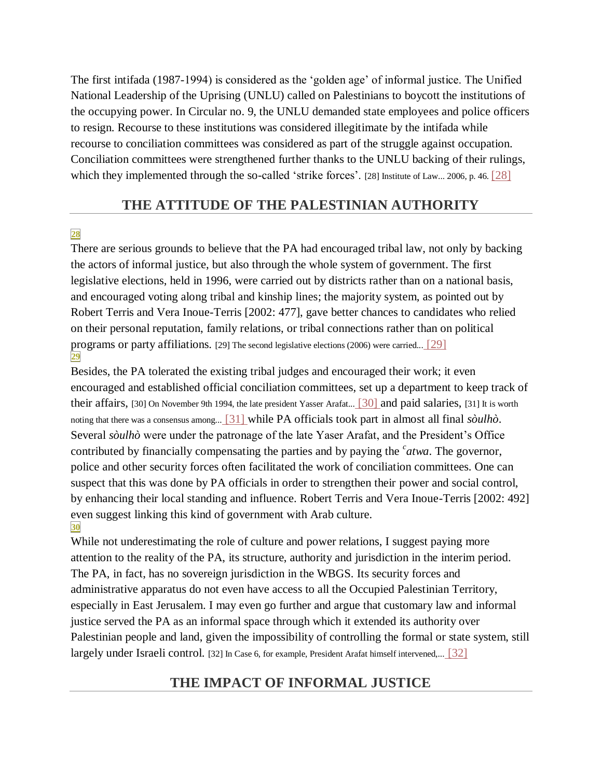The first intifada (1987-1994) is considered as the 'golden age' of informal justice. The Unified National Leadership of the Uprising (UNLU) called on Palestinians to boycott the institutions of the occupying power. In Circular no. 9, the UNLU demanded state employees and police officers to resign. Recourse to these institutions was considered illegitimate by the intifada while recourse to conciliation committees was considered as part of the struggle against occupation. Conciliation committees were strengthened further thanks to the UNLU backing of their rulings, which they implemented through the so-called 'strike forces'. [\[28\] Institute of Law... 2006, p. 46.](http://www.cairn.info/revue-etudes-rurales-2009-2-page-169.htm#no28) [28]

#### **THE ATTITUDE OF THE PALESTINIAN AUTHORITY**

#### **[28](http://www.cairn.info/revue-etudes-rurales-2009-2-page-169.htm#pa28)**

There are serious grounds to believe that the PA had encouraged tribal law, not only by backing the actors of informal justice, but also through the whole system of government. The first legislative elections, held in 1996, were carried out by districts rather than on a national basis, and encouraged voting along tribal and kinship lines; the majority system, as pointed out by Robert Terris and Vera Inoue-Terris [2002: 477], gave better chances to candidates who relied on their personal reputation, family relations, or tribal connections rather than on political programs or party affiliations. [\[29\] The second legislative elections \(2006\) were carried...](http://www.cairn.info/revue-etudes-rurales-2009-2-page-169.htm#no29) [\[29\]](http://www.cairn.info/revue-etudes-rurales-2009-2-page-169.htm#no29)  **[29](http://www.cairn.info/revue-etudes-rurales-2009-2-page-169.htm#pa29)**

Besides, the PA tolerated the existing tribal judges and encouraged their work; it even encouraged and established official conciliation committees, set up a department to keep track of their affairs, [\[30\] On November 9th 1994, the late president Yasser Arafat...](http://www.cairn.info/revue-etudes-rurales-2009-2-page-169.htm#no30) [\[30\] a](http://www.cairn.info/revue-etudes-rurales-2009-2-page-169.htm#no30)nd paid salaries, [\[31\] It is worth](http://www.cairn.info/revue-etudes-rurales-2009-2-page-169.htm#no31)  [noting that there was a consensus among...](http://www.cairn.info/revue-etudes-rurales-2009-2-page-169.htm#no31) [\[31\] w](http://www.cairn.info/revue-etudes-rurales-2009-2-page-169.htm#no31)hile PA officials took part in almost all final *sòulhò*. Several *sòulhò* were under the patronage of the late Yaser Arafat, and the President's Office contributed by financially compensating the parties and by paying the *<sup>c</sup> atwa*. The governor, police and other security forces often facilitated the work of conciliation committees. One can suspect that this was done by PA officials in order to strengthen their power and social control, by enhancing their local standing and influence. Robert Terris and Vera Inoue-Terris [2002: 492] even suggest linking this kind of government with Arab culture. **[30](http://www.cairn.info/revue-etudes-rurales-2009-2-page-169.htm#pa30)**

While not underestimating the role of culture and power relations, I suggest paying more attention to the reality of the PA, its structure, authority and jurisdiction in the interim period. The PA, in fact, has no sovereign jurisdiction in the WBGS. Its security forces and administrative apparatus do not even have access to all the Occupied Palestinian Territory, especially in East Jerusalem. I may even go further and argue that customary law and informal justice served the PA as an informal space through which it extended its authority over Palestinian people and land, given the impossibility of controlling the formal or state system, still largely under Israeli control. [\[32\] In Case 6, for example, President Arafat himself intervened,...](http://www.cairn.info/revue-etudes-rurales-2009-2-page-169.htm#no32) [32]

# **THE IMPACT OF INFORMAL JUSTICE**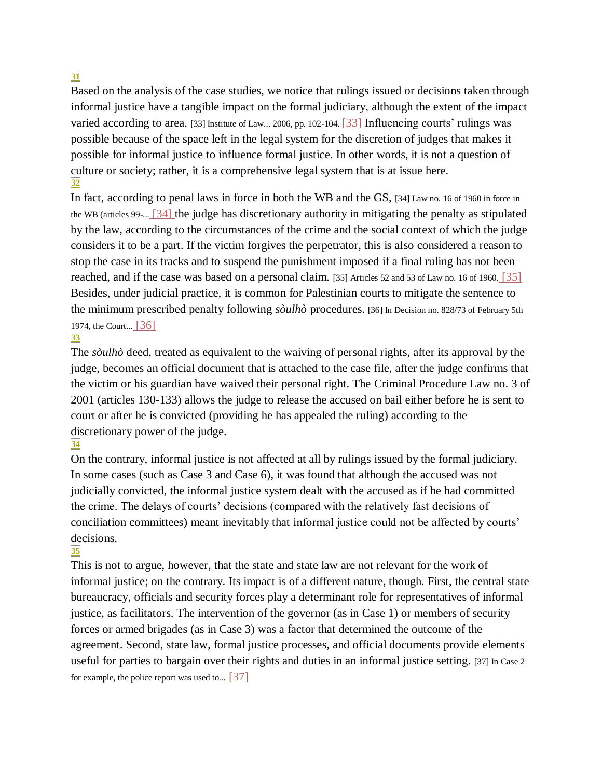# **[31](http://www.cairn.info/revue-etudes-rurales-2009-2-page-169.htm#pa31)**

Based on the analysis of the case studies, we notice that rulings issued or decisions taken through informal justice have a tangible impact on the formal judiciary, although the extent of the impact varied according to area. [\[33\] Institute of Law... 2006, pp. 102-104.](http://www.cairn.info/revue-etudes-rurales-2009-2-page-169.htm#no33) [\[33\] I](http://www.cairn.info/revue-etudes-rurales-2009-2-page-169.htm#no33)nfluencing courts' rulings was possible because of the space left in the legal system for the discretion of judges that makes it possible for informal justice to influence formal justice. In other words, it is not a question of culture or society; rather, it is a comprehensive legal system that is at issue here. **[32](http://www.cairn.info/revue-etudes-rurales-2009-2-page-169.htm#pa32)**

In fact, according to penal laws in force in both the WB and the GS, [\[34\] Law no. 16 of 1960 in force in](http://www.cairn.info/revue-etudes-rurales-2009-2-page-169.htm#no34)  [the WB \(articles 99-...](http://www.cairn.info/revue-etudes-rurales-2009-2-page-169.htm#no34) [\[34\] t](http://www.cairn.info/revue-etudes-rurales-2009-2-page-169.htm#no34)he judge has discretionary authority in mitigating the penalty as stipulated by the law, according to the circumstances of the crime and the social context of which the judge considers it to be a part. If the victim forgives the perpetrator, this is also considered a reason to stop the case in its tracks and to suspend the punishment imposed if a final ruling has not been reached, and if the case was based on a personal claim. [\[35\] Articles 52 and 53 of Law no. 16 of 1960.](http://www.cairn.info/revue-etudes-rurales-2009-2-page-169.htm#no35) [\[35\]](http://www.cairn.info/revue-etudes-rurales-2009-2-page-169.htm#no35)  Besides, under judicial practice, it is common for Palestinian courts to mitigate the sentence to the minimum prescribed penalty following *sòulhò* procedures. [\[36\] In Decision no. 828/73 of February 5th](http://www.cairn.info/revue-etudes-rurales-2009-2-page-169.htm#no36)  [1974, the Court...](http://www.cairn.info/revue-etudes-rurales-2009-2-page-169.htm#no36) [\[36\]](http://www.cairn.info/revue-etudes-rurales-2009-2-page-169.htm#no36) 

#### **[33](http://www.cairn.info/revue-etudes-rurales-2009-2-page-169.htm#pa33)**

The *sòulhò* deed, treated as equivalent to the waiving of personal rights, after its approval by the judge, becomes an official document that is attached to the case file, after the judge confirms that the victim or his guardian have waived their personal right. The Criminal Procedure Law no. 3 of 2001 (articles 130-133) allows the judge to release the accused on bail either before he is sent to court or after he is convicted (providing he has appealed the ruling) according to the discretionary power of the judge.

#### **[34](http://www.cairn.info/revue-etudes-rurales-2009-2-page-169.htm#pa34)**

On the contrary, informal justice is not affected at all by rulings issued by the formal judiciary. In some cases (such as Case 3 and Case 6), it was found that although the accused was not judicially convicted, the informal justice system dealt with the accused as if he had committed the crime. The delays of courts' decisions (compared with the relatively fast decisions of conciliation committees) meant inevitably that informal justice could not be affected by courts' decisions.

# **[35](http://www.cairn.info/revue-etudes-rurales-2009-2-page-169.htm#pa35)**

This is not to argue, however, that the state and state law are not relevant for the work of informal justice; on the contrary. Its impact is of a different nature, though. First, the central state bureaucracy, officials and security forces play a determinant role for representatives of informal justice, as facilitators. The intervention of the governor (as in Case 1) or members of security forces or armed brigades (as in Case 3) was a factor that determined the outcome of the agreement. Second, state law, formal justice processes, and official documents provide elements useful for parties to bargain over their rights and duties in an informal justice setting. [\[37\] In Case 2](http://www.cairn.info/revue-etudes-rurales-2009-2-page-169.htm#no37)  [for example, the police report was used to...](http://www.cairn.info/revue-etudes-rurales-2009-2-page-169.htm#no37)  $[37]$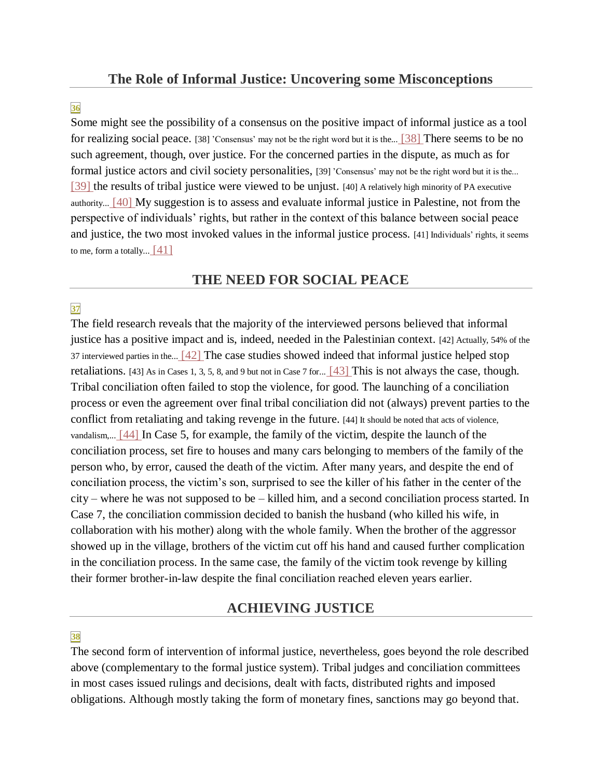**[36](http://www.cairn.info/revue-etudes-rurales-2009-2-page-169.htm#pa36)**

Some might see the possibility of a consensus on the positive impact of informal justice as a tool for realizing social peace. [\[38\] 'Consensus' may not be the right word](http://www.cairn.info/revue-etudes-rurales-2009-2-page-169.htm#no38) but it is the... [\[38\] T](http://www.cairn.info/revue-etudes-rurales-2009-2-page-169.htm#no38)here seems to be no such agreement, though, over justice. For the concerned parties in the dispute, as much as for formal justice actors and civil society personalities, [\[39\] 'Consensus' may not be the right word but it is the...](http://www.cairn.info/revue-etudes-rurales-2009-2-page-169.htm#no39) [39] the results of tribal justice were viewed to be unjust. [\[40\] A relatively high minority of PA executive](http://www.cairn.info/revue-etudes-rurales-2009-2-page-169.htm#no40)  [authority...](http://www.cairn.info/revue-etudes-rurales-2009-2-page-169.htm#no40) [\[40\] M](http://www.cairn.info/revue-etudes-rurales-2009-2-page-169.htm#no40)y suggestion is to assess and evaluate informal justice in Palestine, not from the perspective of individuals' rights, but rather in the context of this balance between social peace and justice, the two most invoked values in the informal justice process. [\[41\] Individuals' rights, it seems](http://www.cairn.info/revue-etudes-rurales-2009-2-page-169.htm#no41)  [to me, form a totally...](http://www.cairn.info/revue-etudes-rurales-2009-2-page-169.htm#no41)  $[41]$ 

# **THE NEED FOR SOCIAL PEACE**

#### **[37](http://www.cairn.info/revue-etudes-rurales-2009-2-page-169.htm#pa37)**

The field research reveals that the majority of the interviewed persons believed that informal justice has a positive impact and is, indeed, needed in the Palestinian context. [\[42\] Actually, 54% of the](http://www.cairn.info/revue-etudes-rurales-2009-2-page-169.htm#no42)  [37 interviewed parties in the...](http://www.cairn.info/revue-etudes-rurales-2009-2-page-169.htm#no42) [\[42\] T](http://www.cairn.info/revue-etudes-rurales-2009-2-page-169.htm#no42)he case studies showed indeed that informal justice helped stop retaliations. [\[43\] As in Cases 1, 3, 5, 8, and 9 but not in Case 7 for...](http://www.cairn.info/revue-etudes-rurales-2009-2-page-169.htm#no43)  $\left[43\right]$  This is not always the case, though. Tribal conciliation often failed to stop the violence, for good. The launching of a conciliation process or even the agreement over final tribal conciliation did not (always) prevent parties to the conflict from retaliating and taking revenge in the future. [\[44\] It should be noted that acts of violence,](http://www.cairn.info/revue-etudes-rurales-2009-2-page-169.htm#no44)  [vandalism,...](http://www.cairn.info/revue-etudes-rurales-2009-2-page-169.htm#no44) [\[44\] I](http://www.cairn.info/revue-etudes-rurales-2009-2-page-169.htm#no44)n Case 5, for example, the family of the victim, despite the launch of the conciliation process, set fire to houses and many cars belonging to members of the family of the person who, by error, caused the death of the victim. After many years, and despite the end of conciliation process, the victim's son, surprised to see the killer of his father in the center of the city – where he was not supposed to be – killed him, and a second conciliation process started. In Case 7, the conciliation commission decided to banish the husband (who killed his wife, in collaboration with his mother) along with the whole family. When the brother of the aggressor showed up in the village, brothers of the victim cut off his hand and caused further complication in the conciliation process. In the same case, the family of the victim took revenge by killing their former brother-in-law despite the final conciliation reached eleven years earlier.

# **ACHIEVING JUSTICE**

# **[38](http://www.cairn.info/revue-etudes-rurales-2009-2-page-169.htm#pa38)**

The second form of intervention of informal justice, nevertheless, goes beyond the role described above (complementary to the formal justice system). Tribal judges and conciliation committees in most cases issued rulings and decisions, dealt with facts, distributed rights and imposed obligations. Although mostly taking the form of monetary fines, sanctions may go beyond that.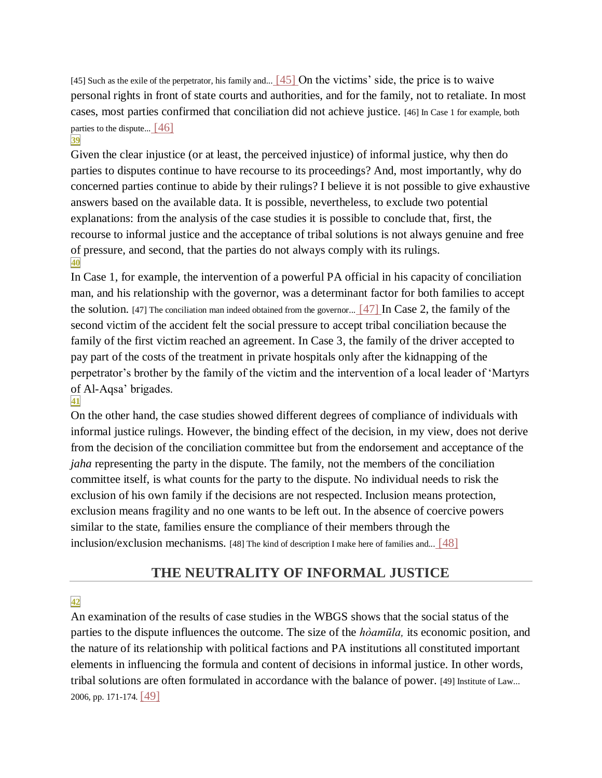[\[45\] Such as the exile of the perpetrator, his](http://www.cairn.info/revue-etudes-rurales-2009-2-page-169.htm#no45) family and... [\[45\] O](http://www.cairn.info/revue-etudes-rurales-2009-2-page-169.htm#no45)n the victims' side, the price is to waive personal rights in front of state courts and authorities, and for the family, not to retaliate. In most cases, most parties confirmed that conciliation did not achieve justice. [\[46\] In Case 1 for example, both](http://www.cairn.info/revue-etudes-rurales-2009-2-page-169.htm#no46)  [parties to the dispute...](http://www.cairn.info/revue-etudes-rurales-2009-2-page-169.htm#no46)  $[46]$ 

#### **[39](http://www.cairn.info/revue-etudes-rurales-2009-2-page-169.htm#pa39)**

Given the clear injustice (or at least, the perceived injustice) of informal justice, why then do parties to disputes continue to have recourse to its proceedings? And, most importantly, why do concerned parties continue to abide by their rulings? I believe it is not possible to give exhaustive answers based on the available data. It is possible, nevertheless, to exclude two potential explanations: from the analysis of the case studies it is possible to conclude that, first, the recourse to informal justice and the acceptance of tribal solutions is not always genuine and free of pressure, and second, that the parties do not always comply with its rulings. **[40](http://www.cairn.info/revue-etudes-rurales-2009-2-page-169.htm#pa40)**

In Case 1, for example, the intervention of a powerful PA official in his capacity of conciliation man, and his relationship with the governor, was a determinant factor for both families to accept the solution. [\[47\] The conciliation man indeed obtained from the governor...](http://www.cairn.info/revue-etudes-rurales-2009-2-page-169.htm#no47) [\[47\] I](http://www.cairn.info/revue-etudes-rurales-2009-2-page-169.htm#no47)n Case 2, the family of the second victim of the accident felt the social pressure to accept tribal conciliation because the family of the first victim reached an agreement. In Case 3, the family of the driver accepted to pay part of the costs of the treatment in private hospitals only after the kidnapping of the perpetrator's brother by the family of the victim and the intervention of a local leader of 'Martyrs of Al-Aqsa' brigades.

#### **[41](http://www.cairn.info/revue-etudes-rurales-2009-2-page-169.htm#pa41)**

On the other hand, the case studies showed different degrees of compliance of individuals with informal justice rulings. However, the binding effect of the decision, in my view, does not derive from the decision of the conciliation committee but from the endorsement and acceptance of the *jaha* representing the party in the dispute. The family, not the members of the conciliation committee itself, is what counts for the party to the dispute. No individual needs to risk the exclusion of his own family if the decisions are not respected. Inclusion means protection, exclusion means fragility and no one wants to be left out. In the absence of coercive powers similar to the state, families ensure the compliance of their members through the inclusion/exclusion mechanisms. [\[48\] The kind of description I make here of families and...](http://www.cairn.info/revue-etudes-rurales-2009-2-page-169.htm#no48) [\[48\]](http://www.cairn.info/revue-etudes-rurales-2009-2-page-169.htm#no48) 

# **THE NEUTRALITY OF INFORMAL JUSTICE**

#### **[42](http://www.cairn.info/revue-etudes-rurales-2009-2-page-169.htm#pa42)**

An examination of the results of case studies in the WBGS shows that the social status of the parties to the dispute influences the outcome. The size of the *hòamūla,* its economic position, and the nature of its relationship with political factions and PA institutions all constituted important elements in influencing the formula and content of decisions in informal justice. In other words, tribal solutions are often formulated in accordance with the balance of power. [\[49\] Institute of Law...](http://www.cairn.info/revue-etudes-rurales-2009-2-page-169.htm#no49)  [2006, pp. 171-174.](http://www.cairn.info/revue-etudes-rurales-2009-2-page-169.htm#no49) [\[49\]](http://www.cairn.info/revue-etudes-rurales-2009-2-page-169.htm#no49)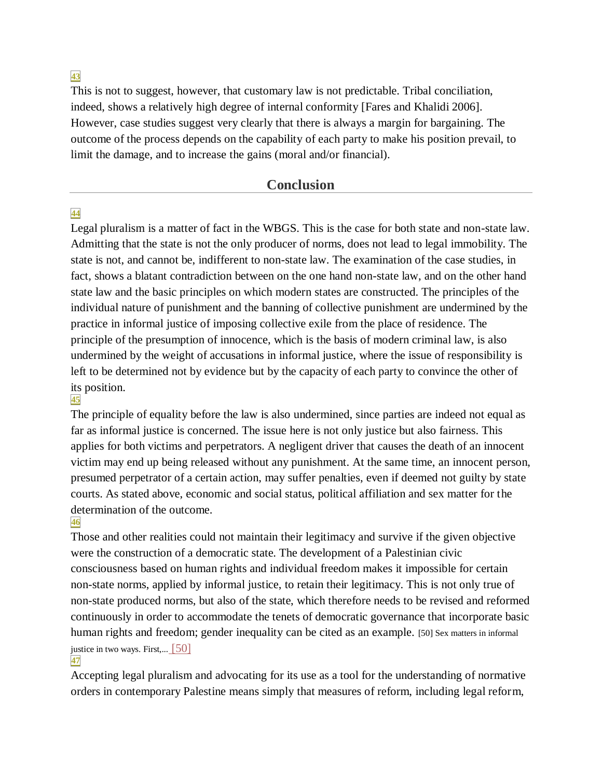**[43](http://www.cairn.info/revue-etudes-rurales-2009-2-page-169.htm#pa43)**

This is not to suggest, however, that customary law is not predictable. Tribal conciliation, indeed, shows a relatively high degree of internal conformity [Fares and Khalidi 2006]. However, case studies suggest very clearly that there is always a margin for bargaining. The outcome of the process depends on the capability of each party to make his position prevail, to limit the damage, and to increase the gains (moral and/or financial).

#### **Conclusion**

#### **[44](http://www.cairn.info/revue-etudes-rurales-2009-2-page-169.htm#pa44)**

Legal pluralism is a matter of fact in the WBGS. This is the case for both state and non-state law. Admitting that the state is not the only producer of norms, does not lead to legal immobility. The state is not, and cannot be, indifferent to non-state law. The examination of the case studies, in fact, shows a blatant contradiction between on the one hand non-state law, and on the other hand state law and the basic principles on which modern states are constructed. The principles of the individual nature of punishment and the banning of collective punishment are undermined by the practice in informal justice of imposing collective exile from the place of residence. The principle of the presumption of innocence, which is the basis of modern criminal law, is also undermined by the weight of accusations in informal justice, where the issue of responsibility is left to be determined not by evidence but by the capacity of each party to convince the other of its position.

#### **[45](http://www.cairn.info/revue-etudes-rurales-2009-2-page-169.htm#pa45)**

The principle of equality before the law is also undermined, since parties are indeed not equal as far as informal justice is concerned. The issue here is not only justice but also fairness. This applies for both victims and perpetrators. A negligent driver that causes the death of an innocent victim may end up being released without any punishment. At the same time, an innocent person, presumed perpetrator of a certain action, may suffer penalties, even if deemed not guilty by state courts. As stated above, economic and social status, political affiliation and sex matter for the determination of the outcome.

#### **[46](http://www.cairn.info/revue-etudes-rurales-2009-2-page-169.htm#pa46)**

Those and other realities could not maintain their legitimacy and survive if the given objective were the construction of a democratic state. The development of a Palestinian civic consciousness based on human rights and individual freedom makes it impossible for certain non-state norms, applied by informal justice, to retain their legitimacy. This is not only true of non-state produced norms, but also of the state, which therefore needs to be revised and reformed continuously in order to accommodate the tenets of democratic governance that incorporate basic human rights and freedom; gender inequality can be cited as an example. [50] Sex matters in informal [justice in two ways. First,...](http://www.cairn.info/revue-etudes-rurales-2009-2-page-169.htm#no50) [50]

#### **[47](http://www.cairn.info/revue-etudes-rurales-2009-2-page-169.htm#pa47)**

Accepting legal pluralism and advocating for its use as a tool for the understanding of normative orders in contemporary Palestine means simply that measures of reform, including legal reform,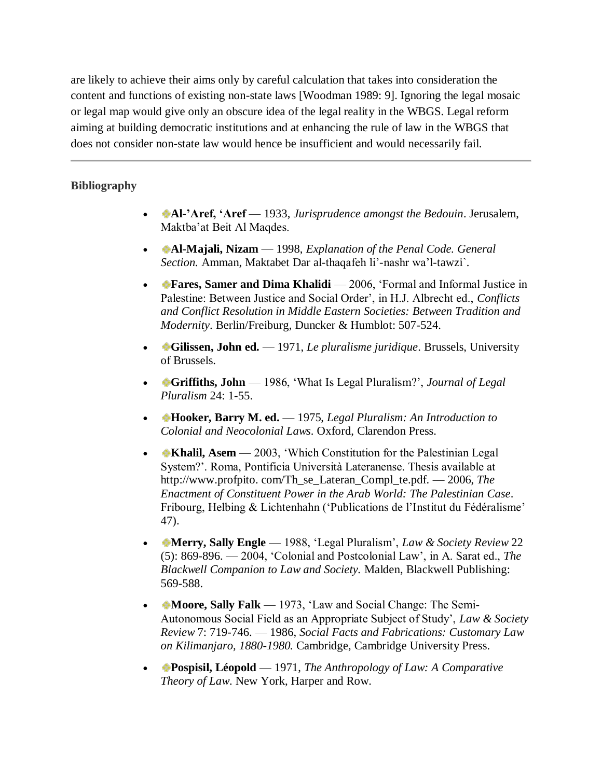are likely to achieve their aims only by careful calculation that takes into consideration the content and functions of existing non-state laws [Woodman 1989: 9]. Ignoring the legal mosaic or legal map would give only an obscure idea of the legal reality in the WBGS. Legal reform aiming at building democratic institutions and at enhancing the rule of law in the WBGS that does not consider non-state law would hence be insufficient and would necessarily fail.

#### **Bibliography**

- **Al-'Aref, 'Aref** 1933, *Jurisprudence amongst the Bedouin*. Jerusalem, Maktba'at Beit Al Maqdes.
- **Al-Majali, Nizam** 1998, *Explanation of the Penal Code. General Section.* Amman, Maktabet Dar al-thaqafeh li'-nashr wa'l-tawzi`.
- **Fares, Samer and Dima Khalidi** 2006, 'Formal and Informal Justice in Palestine: Between Justice and Social Order', in H.J. Albrecht ed., *Conflicts and Conflict Resolution in Middle Eastern Societies: Between Tradition and Modernity*. Berlin/Freiburg, Duncker & Humblot: 507-524.
- **Gilissen, John ed.** 1971, *Le pluralisme juridique*. Brussels, University of Brussels.
- **Griffiths, John**  1986, 'What Is Legal Pluralism?', *Journal of Legal Pluralism* 24: 1-55.
- **Hooker, Barry M. ed.**  1975, *Legal Pluralism: An Introduction to Colonial and Neocolonial Laws*. Oxford, Clarendon Press.
- **Khalil, Asem** 2003, 'Which Constitution for the Palestinian Legal System?'. Roma, Pontificia Università Lateranense. Thesis available at http://www.profpito. com/Th\_se\_Lateran\_Compl\_te.pdf. — 2006, *The Enactment of Constituent Power in the Arab World: The Palestinian Case*. Fribourg, Helbing & Lichtenhahn ('Publications de l'Institut du Fédéralisme' 47).
- **Merry, Sally Engle** 1988, 'Legal Pluralism', *Law & Society Review* 22 (5): 869-896. — 2004, 'Colonial and Postcolonial Law', in A. Sarat ed., *The Blackwell Companion to Law and Society.* Malden, Blackwell Publishing: 569-588.
- **Moore, Sally Falk** 1973, 'Law and Social Change: The Semi-Autonomous Social Field as an Appropriate Subject of Study', *Law & Society Review* 7: 719-746. — 1986, *Social Facts and Fabrications: Customary Law on Kilimanjaro, 1880-1980.* Cambridge, Cambridge University Press.
- **Pospisil, Léopold** 1971, *The Anthropology of Law: A Comparative Theory of Law*. New York, Harper and Row.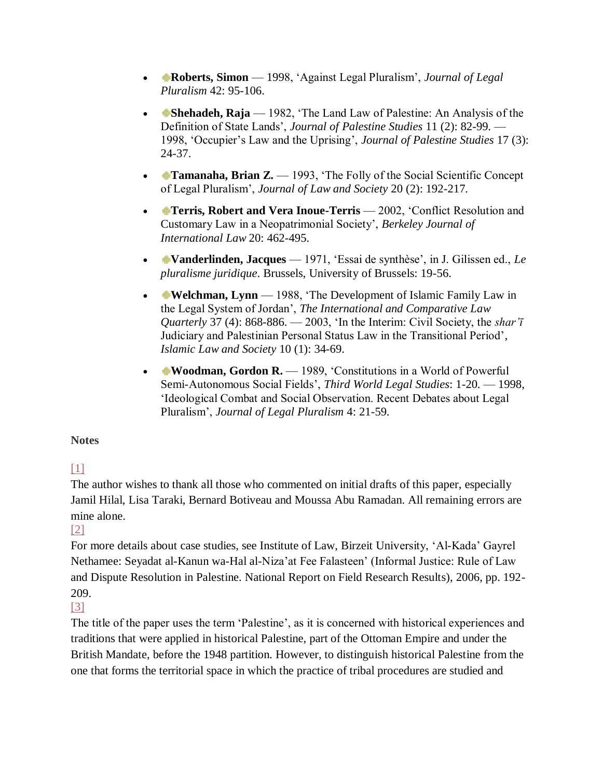- **Roberts, Simon** 1998, 'Against Legal Pluralism', *Journal of Legal*  $\blacksquare$ *Pluralism* 42: 95-106.
- **Shehadeh, Raja** 1982, 'The Land Law of Palestine: An Analysis of the Definition of State Lands', *Journal of Palestine Studies* 11 (2): 82-99. — 1998, 'Occupier's Law and the Uprising', *Journal of Palestine Studies* 17 (3): 24-37.
- **Tamanaha, Brian Z.** 1993, 'The Folly of the Social Scientific Concept of Legal Pluralism', *Journal of Law and Society* 20 (2): 192-217.
- **Terris, Robert and Vera Inoue-Terris** 2002, 'Conflict Resolution and Customary Law in a Neopatrimonial Society', *Berkeley Journal of International Law* 20: 462-495.
- **Vanderlinden, Jacques** 1971, 'Essai de synthèse', in J. Gilissen ed., *Le pluralisme juridique*. Brussels, University of Brussels: 19-56.
- **Welchman, Lynn** 1988, 'The Development of Islamic Family Law in the Legal System of Jordan', *The International and Comparative Law Quarterly* 37 (4): 868-886. — 2003, 'In the Interim: Civil Society, the *shar'ī* Judiciary and Palestinian Personal Status Law in the Transitional Period', *Islamic Law and Society* 10 (1): 34-69.
- **Woodman, Gordon R.** 1989, 'Constitutions in a World of Powerful Semi-Autonomous Social Fields', *Third World Legal Studies*: 1-20. — 1998, 'Ideological Combat and Social Observation. Recent Debates about Legal Pluralism', *Journal of Legal Pluralism* 4: 21-59.

#### **Notes**

# $[1]$

The author wishes to thank all those who commented on initial drafts of this paper, especially Jamil Hilal, Lisa Taraki, Bernard Botiveau and Moussa Abu Ramadan. All remaining errors are mine alone.

#### [\[2\]](http://www.cairn.info/revue-etudes-rurales-2009-2-page-169.htm#re2no2)

For more details about case studies, see Institute of Law, Birzeit University, 'Al-Kada' Gayrel Nethamee: Seyadat al-Kanun wa-Hal al-Niza'at Fee Falasteen' (Informal Justice: Rule of Law and Dispute Resolution in Palestine. National Report on Field Research Results), 2006, pp. 192- 209.

[\[3\]](http://www.cairn.info/revue-etudes-rurales-2009-2-page-169.htm#re3no3) 

The title of the paper uses the term 'Palestine', as it is concerned with historical experiences and traditions that were applied in historical Palestine, part of the Ottoman Empire and under the British Mandate, before the 1948 partition. However, to distinguish historical Palestine from the one that forms the territorial space in which the practice of tribal procedures are studied and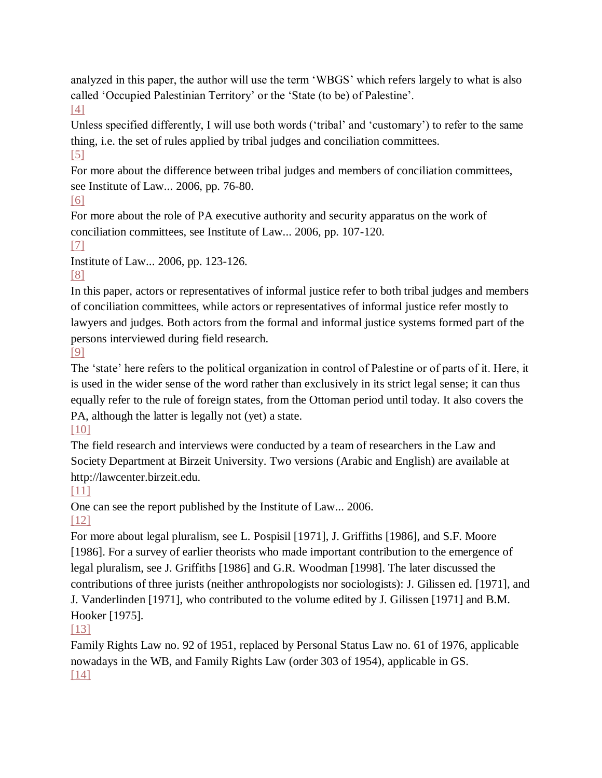analyzed in this paper, the author will use the term 'WBGS' which refers largely to what is also called 'Occupied Palestinian Territory' or the 'State (to be) of Palestine'. [\[4\]](http://www.cairn.info/revue-etudes-rurales-2009-2-page-169.htm#re4no4) 

Unless specified differently, I will use both words ('tribal' and 'customary') to refer to the same thing, i.e. the set of rules applied by tribal judges and conciliation committees.

[\[5\]](http://www.cairn.info/revue-etudes-rurales-2009-2-page-169.htm#re5no5) 

For more about the difference between tribal judges and members of conciliation committees, see Institute of Law... 2006, pp. 76-80.

[\[6\]](http://www.cairn.info/revue-etudes-rurales-2009-2-page-169.htm#re6no6) 

For more about the role of PA executive authority and security apparatus on the work of conciliation committees, see Institute of Law... 2006, pp. 107-120.

[\[7\]](http://www.cairn.info/revue-etudes-rurales-2009-2-page-169.htm#re7no7) 

Institute of Law... 2006, pp. 123-126.

[\[8\]](http://www.cairn.info/revue-etudes-rurales-2009-2-page-169.htm#re8no8) 

In this paper, actors or representatives of informal justice refer to both tribal judges and members of conciliation committees, while actors or representatives of informal justice refer mostly to lawyers and judges. Both actors from the formal and informal justice systems formed part of the persons interviewed during field research.

[\[9\]](http://www.cairn.info/revue-etudes-rurales-2009-2-page-169.htm#re9no9) 

The 'state' here refers to the political organization in control of Palestine or of parts of it. Here, it is used in the wider sense of the word rather than exclusively in its strict legal sense; it can thus equally refer to the rule of foreign states, from the Ottoman period until today. It also covers the PA, although the latter is legally not (yet) a state.

[\[10\]](http://www.cairn.info/revue-etudes-rurales-2009-2-page-169.htm#re10no10) 

The field research and interviews were conducted by a team of researchers in the Law and Society Department at Birzeit University. Two versions (Arabic and English) are available at http://lawcenter.birzeit.edu.

[\[11\]](http://www.cairn.info/revue-etudes-rurales-2009-2-page-169.htm#re11no11) 

One can see the report published by the Institute of Law... 2006.

[\[12\]](http://www.cairn.info/revue-etudes-rurales-2009-2-page-169.htm#re12no12) 

For more about legal pluralism, see L. Pospisil [1971], J. Griffiths [1986], and S.F. Moore [1986]. For a survey of earlier theorists who made important contribution to the emergence of legal pluralism, see J. Griffiths [1986] and G.R. Woodman [1998]. The later discussed the contributions of three jurists (neither anthropologists nor sociologists): J. Gilissen ed. [1971], and J. Vanderlinden [1971], who contributed to the volume edited by J. Gilissen [1971] and B.M.

Hooker [1975]. [\[13\]](http://www.cairn.info/revue-etudes-rurales-2009-2-page-169.htm#re13no13) 

Family Rights Law no. 92 of 1951, replaced by Personal Status Law no. 61 of 1976, applicable nowadays in the WB, and Family Rights Law (order 303 of 1954), applicable in GS. [\[14\]](http://www.cairn.info/revue-etudes-rurales-2009-2-page-169.htm#re14no14)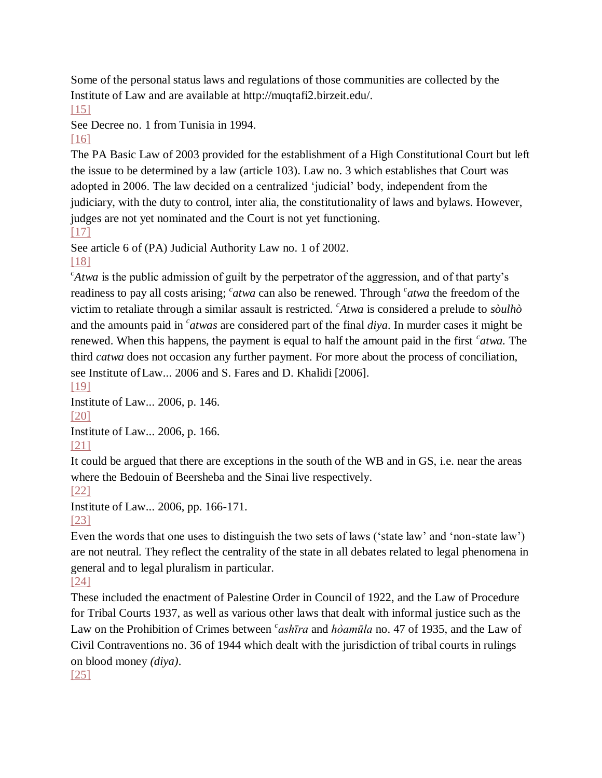Some of the personal status laws and regulations of those communities are collected by the Institute of Law and are available at http://muqtafi2.birzeit.edu/.

#### $[15]$

See Decree no. 1 from Tunisia in 1994.

#### [\[16\]](http://www.cairn.info/revue-etudes-rurales-2009-2-page-169.htm#re16no16)

The PA Basic Law of 2003 provided for the establishment of a High Constitutional Court but left the issue to be determined by a law (article 103). Law no. 3 which establishes that Court was adopted in 2006. The law decided on a centralized 'judicial' body, independent from the judiciary, with the duty to control, inter alia, the constitutionality of laws and bylaws. However, judges are not yet nominated and the Court is not yet functioning. [\[17\]](http://www.cairn.info/revue-etudes-rurales-2009-2-page-169.htm#re17no17) 

See article 6 of (PA) Judicial Authority Law no. 1 of 2002.

#### [\[18\]](http://www.cairn.info/revue-etudes-rurales-2009-2-page-169.htm#re18no18)

*c Atwa* is the public admission of guilt by the perpetrator of the aggression, and of that party's readiness to pay all costs arising; <sup>*c*</sup> atwa can also be renewed. Through *<sup>c</sup>* atwa the freedom of the victim to retaliate through a similar assault is restricted. *<sup>c</sup> Atwa* is considered a prelude to *sòulhò* and the amounts paid in <sup>*c*</sup> atwas are considered part of the final *diya*. In murder cases it might be renewed. When this happens, the payment is equal to half the amount paid in the first <sup>c</sup>atwa. The third *catwa* does not occasion any further payment. For more about the process of conciliation, see Institute of Law... 2006 and S. Fares and D. Khalidi [2006].

[\[19\]](http://www.cairn.info/revue-etudes-rurales-2009-2-page-169.htm#re19no19) 

Institute of Law... 2006, p. 146.

[\[20\]](http://www.cairn.info/revue-etudes-rurales-2009-2-page-169.htm#re20no20) 

Institute of Law... 2006, p. 166.

[\[21\]](http://www.cairn.info/revue-etudes-rurales-2009-2-page-169.htm#re21no21) 

It could be argued that there are exceptions in the south of the WB and in GS, i.e. near the areas where the Bedouin of Beersheba and the Sinai live respectively.

[\[22\]](http://www.cairn.info/revue-etudes-rurales-2009-2-page-169.htm#re22no22) 

Institute of Law... 2006, pp. 166-171.

[\[23\]](http://www.cairn.info/revue-etudes-rurales-2009-2-page-169.htm#re23no23) 

Even the words that one uses to distinguish the two sets of laws ('state law' and 'non-state law') are not neutral. They reflect the centrality of the state in all debates related to legal phenomena in general and to legal pluralism in particular.

# [\[24\]](http://www.cairn.info/revue-etudes-rurales-2009-2-page-169.htm#re24no24)

These included the enactment of Palestine Order in Council of 1922, and the Law of Procedure for Tribal Courts 1937, as well as various other laws that dealt with informal justice such as the Law on the Prohibition of Crimes between <sup>*c*</sup> ash*īra* and *hòamūla* no. 47 of 1935, and the Law of Civil Contraventions no. 36 of 1944 which dealt with the jurisdiction of tribal courts in rulings on blood money *(diya)*.

[\[25\]](http://www.cairn.info/revue-etudes-rurales-2009-2-page-169.htm#re25no25)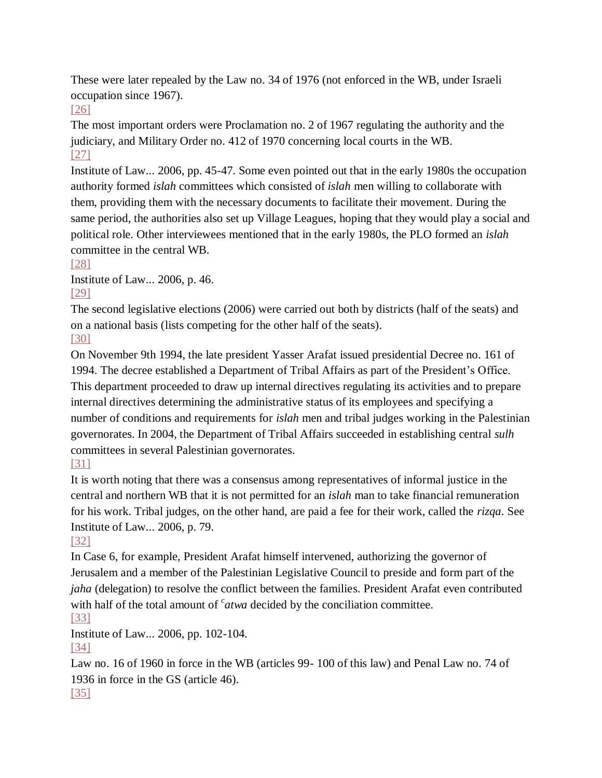These were later repealed by the Law no. 34 of 1976 (not enforced in the WB, under Israeli occupation since 1967).

[\[26\]](http://www.cairn.info/revue-etudes-rurales-2009-2-page-169.htm#re26no26) 

The most important orders were Proclamation no. 2 of 1967 regulating the authority and the judiciary, and Military Order no. 412 of 1970 concerning local courts in the WB. [\[27\]](http://www.cairn.info/revue-etudes-rurales-2009-2-page-169.htm#re27no27) 

Institute of Law... 2006, pp. 45-47. Some even pointed out that in the early 1980s the occupation authority formed *islah* committees which consisted of *islah* men willing to collaborate with them, providing them with the necessary documents to facilitate their movement. During the same period, the authorities also set up Village Leagues, hoping that they would play a social and political role. Other interviewees mentioned that in the early 1980s, the PLO formed an *islah* committee in the central WB.

[\[28\]](http://www.cairn.info/revue-etudes-rurales-2009-2-page-169.htm#re28no28) 

Institute of Law... 2006, p. 46. [\[29\]](http://www.cairn.info/revue-etudes-rurales-2009-2-page-169.htm#re29no29) 

The second legislative elections (2006) were carried out both by districts (half of the seats) and on a national basis (lists competing for the other half of the seats).

[\[30\]](http://www.cairn.info/revue-etudes-rurales-2009-2-page-169.htm#re30no30) 

On November 9th 1994, the late president Yasser Arafat issued presidential Decree no. 161 of 1994. The decree established a Department of Tribal Affairs as part of the President's Office. This department proceeded to draw up internal directives regulating its activities and to prepare internal directives determining the administrative status of its employees and specifying a number of conditions and requirements for *islah* men and tribal judges working in the Palestinian governorates. In 2004, the Department of Tribal Affairs succeeded in establishing central *sulh* committees in several Palestinian governorates.

# [\[31\]](http://www.cairn.info/revue-etudes-rurales-2009-2-page-169.htm#re31no31)

It is worth noting that there was a consensus among representatives of informal justice in the central and northern WB that it is not permitted for an *islah* man to take financial remuneration for his work. Tribal judges, on the other hand, are paid a fee for their work, called the *rizqa*. See Institute of Law... 2006, p. 79.

# [\[32\]](http://www.cairn.info/revue-etudes-rurales-2009-2-page-169.htm#re32no32)

In Case 6, for example, President Arafat himself intervened, authorizing the governor of Jerusalem and a member of the Palestinian Legislative Council to preside and form part of the *jaha* (delegation) to resolve the conflict between the families. President Arafat even contributed with half of the total amount of <sup>*c*</sup> atwa decided by the conciliation committee. [\[33\]](http://www.cairn.info/revue-etudes-rurales-2009-2-page-169.htm#re33no33) 

Institute of Law... 2006, pp. 102-104.

[\[34\]](http://www.cairn.info/revue-etudes-rurales-2009-2-page-169.htm#re34no34) 

Law no. 16 of 1960 in force in the WB (articles 99- 100 of this law) and Penal Law no. 74 of 1936 in force in the GS (article 46). [\[35\]](http://www.cairn.info/revue-etudes-rurales-2009-2-page-169.htm#re35no35)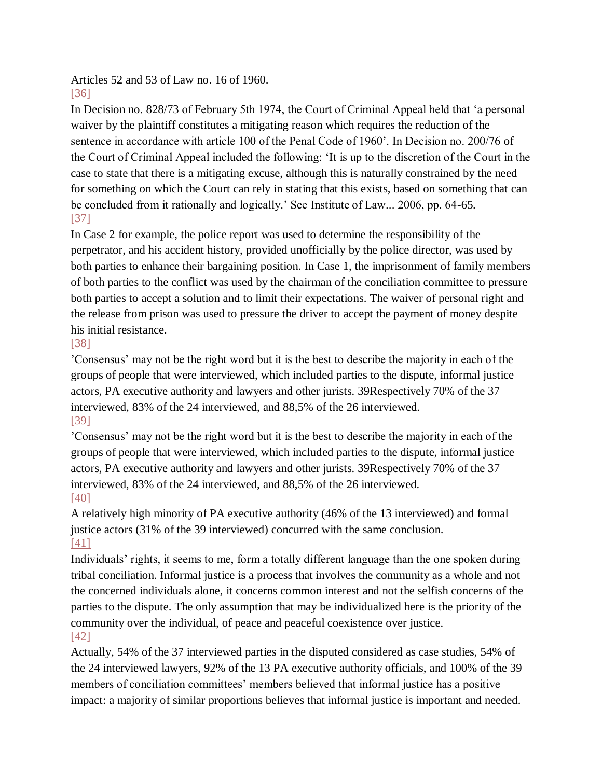Articles 52 and 53 of Law no. 16 of 1960.

In Decision no. 828/73 of February 5th 1974, the Court of Criminal Appeal held that 'a personal waiver by the plaintiff constitutes a mitigating reason which requires the reduction of the sentence in accordance with article 100 of the Penal Code of 1960'. In Decision no. 200/76 of the Court of Criminal Appeal included the following: 'It is up to the discretion of the Court in the case to state that there is a mitigating excuse, although this is naturally constrained by the need for something on which the Court can rely in stating that this exists, based on something that can be concluded from it rationally and logically.' See Institute of Law... 2006, pp. 64-65. [\[37\]](http://www.cairn.info/revue-etudes-rurales-2009-2-page-169.htm#re37no37) 

In Case 2 for example, the police report was used to determine the responsibility of the perpetrator, and his accident history, provided unofficially by the police director, was used by both parties to enhance their bargaining position. In Case 1, the imprisonment of family members of both parties to the conflict was used by the chairman of the conciliation committee to pressure both parties to accept a solution and to limit their expectations. The waiver of personal right and the release from prison was used to pressure the driver to accept the payment of money despite his initial resistance.

# [\[38\]](http://www.cairn.info/revue-etudes-rurales-2009-2-page-169.htm#re38no38)

'Consensus' may not be the right word but it is the best to describe the majority in each of the groups of people that were interviewed, which included parties to the dispute, informal justice actors, PA executive authority and lawyers and other jurists. 39Respectively 70% of the 37 interviewed, 83% of the 24 interviewed, and 88,5% of the 26 interviewed. [\[39\]](http://www.cairn.info/revue-etudes-rurales-2009-2-page-169.htm#re39no39) 

'Consensus' may not be the right word but it is the best to describe the majority in each of the groups of people that were interviewed, which included parties to the dispute, informal justice actors, PA executive authority and lawyers and other jurists. 39Respectively 70% of the 37 interviewed, 83% of the 24 interviewed, and 88,5% of the 26 interviewed. [\[40\]](http://www.cairn.info/revue-etudes-rurales-2009-2-page-169.htm#re40no40) 

A relatively high minority of PA executive authority (46% of the 13 interviewed) and formal justice actors (31% of the 39 interviewed) concurred with the same conclusion. [\[41\]](http://www.cairn.info/revue-etudes-rurales-2009-2-page-169.htm#re41no41) 

Individuals' rights, it seems to me, form a totally different language than the one spoken during tribal conciliation. Informal justice is a process that involves the community as a whole and not the concerned individuals alone, it concerns common interest and not the selfish concerns of the parties to the dispute. The only assumption that may be individualized here is the priority of the community over the individual, of peace and peaceful coexistence over justice. [\[42\]](http://www.cairn.info/revue-etudes-rurales-2009-2-page-169.htm#re42no42) 

Actually, 54% of the 37 interviewed parties in the disputed considered as case studies, 54% of the 24 interviewed lawyers, 92% of the 13 PA executive authority officials, and 100% of the 39 members of conciliation committees' members believed that informal justice has a positive impact: a majority of similar proportions believes that informal justice is important and needed.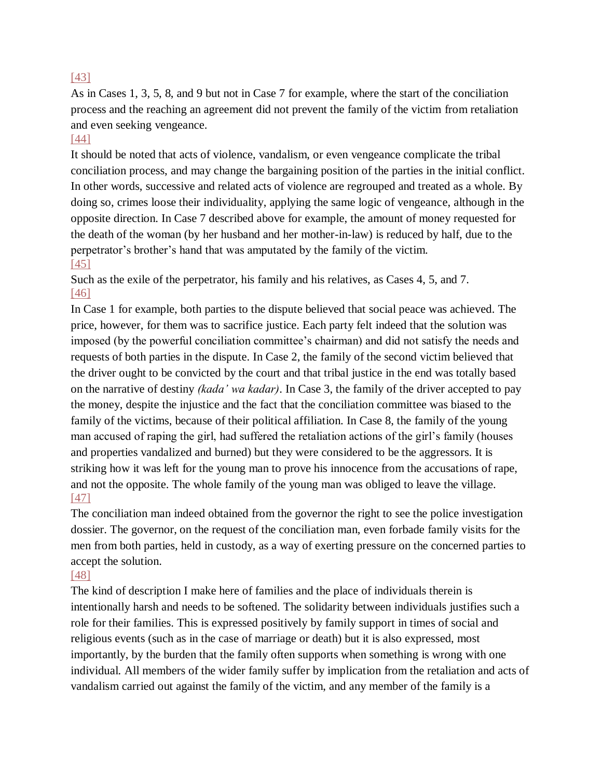#### [\[43\]](http://www.cairn.info/revue-etudes-rurales-2009-2-page-169.htm#re43no43)

As in Cases 1, 3, 5, 8, and 9 but not in Case 7 for example, where the start of the conciliation process and the reaching an agreement did not prevent the family of the victim from retaliation and even seeking vengeance.

#### [\[44\]](http://www.cairn.info/revue-etudes-rurales-2009-2-page-169.htm#re44no44)

It should be noted that acts of violence, vandalism, or even vengeance complicate the tribal conciliation process, and may change the bargaining position of the parties in the initial conflict. In other words, successive and related acts of violence are regrouped and treated as a whole. By doing so, crimes loose their individuality, applying the same logic of vengeance, although in the opposite direction. In Case 7 described above for example, the amount of money requested for the death of the woman (by her husband and her mother-in-law) is reduced by half, due to the perpetrator's brother's hand that was amputated by the family of the victim. [\[45\]](http://www.cairn.info/revue-etudes-rurales-2009-2-page-169.htm#re45no45) 

Such as the exile of the perpetrator, his family and his relatives, as Cases 4, 5, and 7. [\[46\]](http://www.cairn.info/revue-etudes-rurales-2009-2-page-169.htm#re46no46) 

In Case 1 for example, both parties to the dispute believed that social peace was achieved. The price, however, for them was to sacrifice justice. Each party felt indeed that the solution was imposed (by the powerful conciliation committee's chairman) and did not satisfy the needs and requests of both parties in the dispute. In Case 2, the family of the second victim believed that the driver ought to be convicted by the court and that tribal justice in the end was totally based on the narrative of destiny *(kada' wa kadar)*. In Case 3, the family of the driver accepted to pay the money, despite the injustice and the fact that the conciliation committee was biased to the family of the victims, because of their political affiliation. In Case 8, the family of the young man accused of raping the girl, had suffered the retaliation actions of the girl's family (houses and properties vandalized and burned) but they were considered to be the aggressors. It is striking how it was left for the young man to prove his innocence from the accusations of rape, and not the opposite. The whole family of the young man was obliged to leave the village. [\[47\]](http://www.cairn.info/revue-etudes-rurales-2009-2-page-169.htm#re47no47) 

The conciliation man indeed obtained from the governor the right to see the police investigation dossier. The governor, on the request of the conciliation man, even forbade family visits for the men from both parties, held in custody, as a way of exerting pressure on the concerned parties to accept the solution.

#### [\[48\]](http://www.cairn.info/revue-etudes-rurales-2009-2-page-169.htm#re48no48)

The kind of description I make here of families and the place of individuals therein is intentionally harsh and needs to be softened. The solidarity between individuals justifies such a role for their families. This is expressed positively by family support in times of social and religious events (such as in the case of marriage or death) but it is also expressed, most importantly, by the burden that the family often supports when something is wrong with one individual. All members of the wider family suffer by implication from the retaliation and acts of vandalism carried out against the family of the victim, and any member of the family is a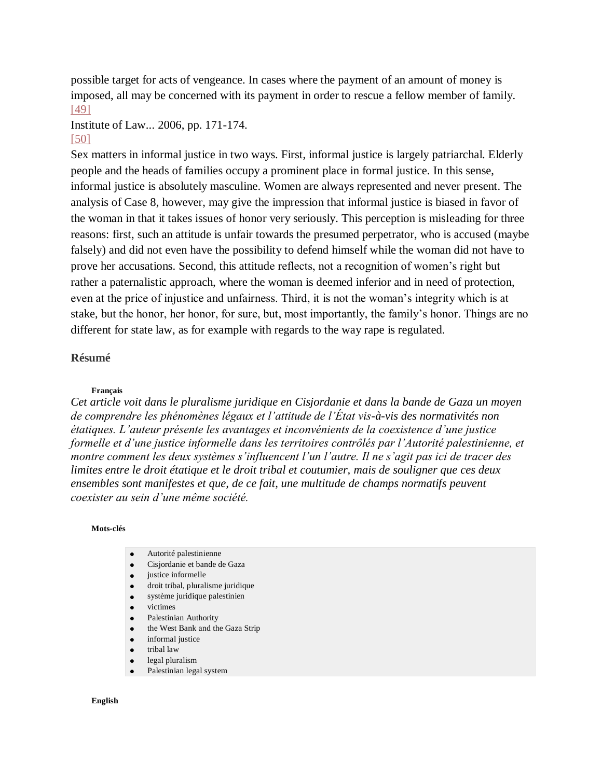possible target for acts of vengeance. In cases where the payment of an amount of money is imposed, all may be concerned with its payment in order to rescue a fellow member of family. [\[49\]](http://www.cairn.info/revue-etudes-rurales-2009-2-page-169.htm#re49no49) 

#### Institute of Law... 2006, pp. 171-174.

#### [\[50\]](http://www.cairn.info/revue-etudes-rurales-2009-2-page-169.htm#re50no50)

Sex matters in informal justice in two ways. First, informal justice is largely patriarchal. Elderly people and the heads of families occupy a prominent place in formal justice. In this sense, informal justice is absolutely masculine. Women are always represented and never present. The analysis of Case 8, however, may give the impression that informal justice is biased in favor of the woman in that it takes issues of honor very seriously. This perception is misleading for three reasons: first, such an attitude is unfair towards the presumed perpetrator, who is accused (maybe falsely) and did not even have the possibility to defend himself while the woman did not have to prove her accusations. Second, this attitude reflects, not a recognition of women's right but rather a paternalistic approach, where the woman is deemed inferior and in need of protection, even at the price of injustice and unfairness. Third, it is not the woman's integrity which is at stake, but the honor, her honor, for sure, but, most importantly, the family's honor. Things are no different for state law, as for example with regards to the way rape is regulated.

#### **Résumé**

#### **Français**

*Cet article voit dans le pluralisme juridique en Cisjordanie et dans la bande de Gaza un moyen de comprendre les phénomènes légaux et l'attitude de l'État vis-à-vis des normativités non étatiques. L'auteur présente les avantages et inconvénients de la coexistence d'une justice formelle et d'une justice informelle dans les territoires contrôlés par l'Autorité palestinienne, et montre comment les deux systèmes s'influencent l'un l'autre. Il ne s'agit pas ici de tracer des limites entre le droit étatique et le droit tribal et coutumier, mais de souligner que ces deux ensembles sont manifestes et que, de ce fait, une multitude de champs normatifs peuvent coexister au sein d'une même société.*

#### **Mots-clés**

- Autorité palestinienne
- Cisjordanie et bande de Gaza
- justice informelle
- droit tribal, pluralisme juridique
- système juridique palestinien
- victimes
- Palestinian Authority
- the West Bank and the Gaza Strip
- informal justice
- tribal law
- legal pluralism
- Palestinian legal system

#### **English**